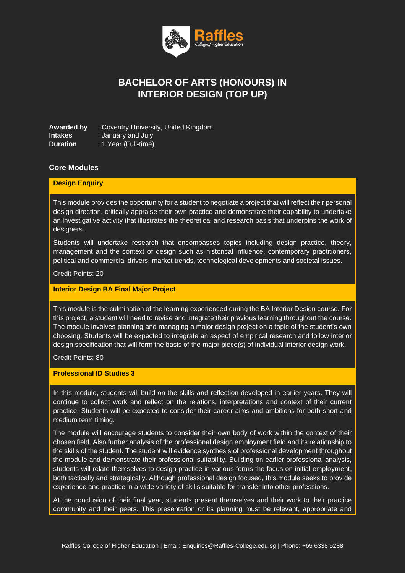

# **BACHELOR OF ARTS (HONOURS) IN INTERIOR DESIGN (TOP UP)**

**Awarded by** : Coventry University, United Kingdom **Intakes** : January and July **Duration** : 1 Year (Full-time)

### **Core Modules**

#### **Design Enquiry**

This module provides the opportunity for a student to negotiate a project that will reflect their personal design direction, critically appraise their own practice and demonstrate their capability to undertake an investigative activity that illustrates the theoretical and research basis that underpins the work of designers.

Students will undertake research that encompasses topics including design practice, theory, management and the context of design such as historical influence, contemporary practitioners, political and commercial drivers, market trends, technological developments and societal issues.

Credit Points: 20

#### **Interior Design BA Final Major Project**

This module is the culmination of the learning experienced during the BA Interior Design course. For this project, a student will need to revise and integrate their previous learning throughout the course. The module involves planning and managing a major design project on a topic of the student's own choosing. Students will be expected to integrate an aspect of empirical research and follow interior design specification that will form the basis of the major piece(s) of individual interior design work.

Credit Points: 80

#### **Professional ID Studies 3**

In this module, students will build on the skills and reflection developed in earlier years. They will continue to collect work and reflect on the relations, interpretations and context of their current practice. Students will be expected to consider their career aims and ambitions for both short and medium term timing.

The module will encourage students to consider their own body of work within the context of their chosen field. Also further analysis of the professional design employment field and its relationship to the skills of the student. The student will evidence synthesis of professional development throughout the module and demonstrate their professional suitability. Building on earlier professional analysis, students will relate themselves to design practice in various forms the focus on initial employment, both tactically and strategically. Although professional design focused, this module seeks to provide experience and practice in a wide variety of skills suitable for transfer into other professions.

At the conclusion of their final year, students present themselves and their work to their practice community and their peers. This presentation or its planning must be relevant, appropriate and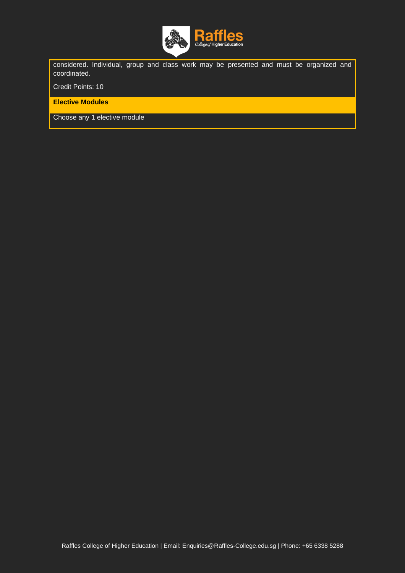

considered. Individual, group and class work may be presented and must be organized and coordinated.

Credit Points: 10

**Elective Modules**

Choose any 1 elective module